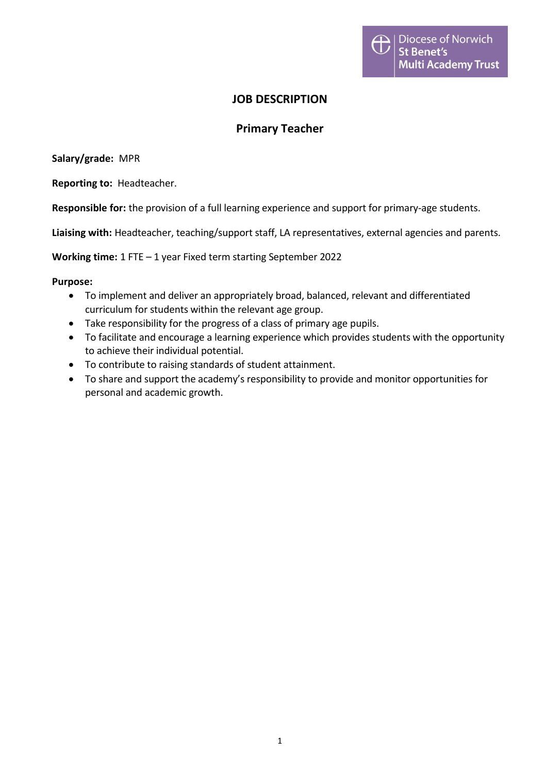## **JOB DESCRIPTION**

## **Primary Teacher**

**Salary/grade:** MPR

**Reporting to:** Headteacher.

**Responsible for:** the provision of a full learning experience and support for primary-age students.

**Liaising with:** Headteacher, teaching/support staff, LA representatives, external agencies and parents.

**Working time:** 1 FTE – 1 year Fixed term starting September 2022

## **Purpose:**

- To implement and deliver an appropriately broad, balanced, relevant and differentiated curriculum for students within the relevant age group.
- Take responsibility for the progress of a class of primary age pupils.
- To facilitate and encourage a learning experience which provides students with the opportunity to achieve their individual potential.
- To contribute to raising standards of student attainment.
- To share and support the academy's responsibility to provide and monitor opportunities for personal and academic growth.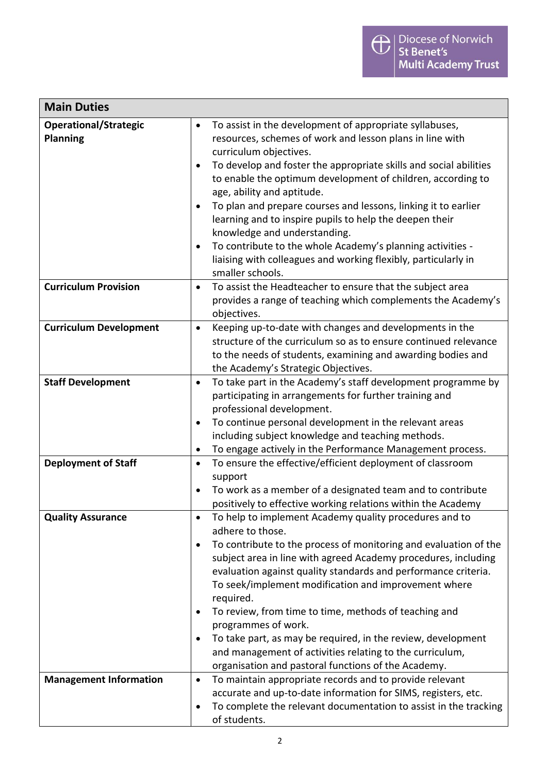| <b>Main Duties</b>                       |                                                                                                                                                                                                                                                                                                                                                                                                                                                                                                                                                                                                                                                                              |  |
|------------------------------------------|------------------------------------------------------------------------------------------------------------------------------------------------------------------------------------------------------------------------------------------------------------------------------------------------------------------------------------------------------------------------------------------------------------------------------------------------------------------------------------------------------------------------------------------------------------------------------------------------------------------------------------------------------------------------------|--|
| Operational/Strategic<br><b>Planning</b> | To assist in the development of appropriate syllabuses,<br>$\bullet$<br>resources, schemes of work and lesson plans in line with<br>curriculum objectives.<br>To develop and foster the appropriate skills and social abilities<br>$\bullet$<br>to enable the optimum development of children, according to<br>age, ability and aptitude.<br>To plan and prepare courses and lessons, linking it to earlier<br>$\bullet$<br>learning and to inspire pupils to help the deepen their<br>knowledge and understanding.<br>To contribute to the whole Academy's planning activities -<br>٠<br>liaising with colleagues and working flexibly, particularly in<br>smaller schools. |  |
| <b>Curriculum Provision</b>              | To assist the Headteacher to ensure that the subject area<br>$\bullet$<br>provides a range of teaching which complements the Academy's<br>objectives.                                                                                                                                                                                                                                                                                                                                                                                                                                                                                                                        |  |
| <b>Curriculum Development</b>            | Keeping up-to-date with changes and developments in the<br>$\bullet$<br>structure of the curriculum so as to ensure continued relevance<br>to the needs of students, examining and awarding bodies and<br>the Academy's Strategic Objectives.                                                                                                                                                                                                                                                                                                                                                                                                                                |  |
| <b>Staff Development</b>                 | To take part in the Academy's staff development programme by<br>$\bullet$<br>participating in arrangements for further training and<br>professional development.<br>To continue personal development in the relevant areas<br>٠<br>including subject knowledge and teaching methods.<br>To engage actively in the Performance Management process.<br>٠                                                                                                                                                                                                                                                                                                                       |  |
| <b>Deployment of Staff</b>               | To ensure the effective/efficient deployment of classroom<br>$\bullet$<br>support<br>To work as a member of a designated team and to contribute<br>$\bullet$<br>positively to effective working relations within the Academy                                                                                                                                                                                                                                                                                                                                                                                                                                                 |  |
| <b>Quality Assurance</b>                 | To help to implement Academy quality procedures and to<br>$\bullet$<br>adhere to those.<br>To contribute to the process of monitoring and evaluation of the<br>٠<br>subject area in line with agreed Academy procedures, including<br>evaluation against quality standards and performance criteria.<br>To seek/implement modification and improvement where<br>required.<br>To review, from time to time, methods of teaching and<br>٠<br>programmes of work.<br>To take part, as may be required, in the review, development<br>$\bullet$<br>and management of activities relating to the curriculum,<br>organisation and pastoral functions of the Academy.               |  |
| <b>Management Information</b>            | To maintain appropriate records and to provide relevant<br>$\bullet$<br>accurate and up-to-date information for SIMS, registers, etc.<br>To complete the relevant documentation to assist in the tracking<br>$\bullet$<br>of students.                                                                                                                                                                                                                                                                                                                                                                                                                                       |  |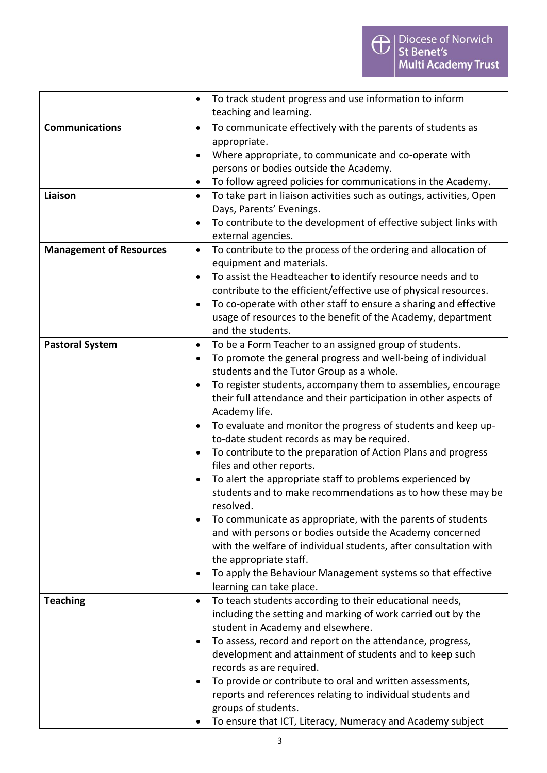|                                | To track student progress and use information to inform<br>$\bullet$                                                                |
|--------------------------------|-------------------------------------------------------------------------------------------------------------------------------------|
|                                | teaching and learning.                                                                                                              |
| <b>Communications</b>          | To communicate effectively with the parents of students as<br>$\bullet$                                                             |
|                                | appropriate.                                                                                                                        |
|                                | Where appropriate, to communicate and co-operate with<br>$\bullet$                                                                  |
|                                | persons or bodies outside the Academy.                                                                                              |
|                                | To follow agreed policies for communications in the Academy.<br>٠                                                                   |
| Liaison                        | To take part in liaison activities such as outings, activities, Open<br>$\bullet$                                                   |
|                                | Days, Parents' Evenings.                                                                                                            |
|                                | To contribute to the development of effective subject links with                                                                    |
|                                | external agencies.                                                                                                                  |
| <b>Management of Resources</b> | To contribute to the process of the ordering and allocation of<br>$\bullet$                                                         |
|                                | equipment and materials.                                                                                                            |
|                                | To assist the Headteacher to identify resource needs and to<br>٠                                                                    |
|                                | contribute to the efficient/effective use of physical resources.                                                                    |
|                                | To co-operate with other staff to ensure a sharing and effective                                                                    |
|                                | usage of resources to the benefit of the Academy, department                                                                        |
|                                | and the students.                                                                                                                   |
| <b>Pastoral System</b>         | To be a Form Teacher to an assigned group of students.<br>$\bullet$<br>To promote the general progress and well-being of individual |
|                                | ٠<br>students and the Tutor Group as a whole.                                                                                       |
|                                | To register students, accompany them to assemblies, encourage<br>$\bullet$                                                          |
|                                | their full attendance and their participation in other aspects of                                                                   |
|                                | Academy life.                                                                                                                       |
|                                | To evaluate and monitor the progress of students and keep up-<br>٠                                                                  |
|                                | to-date student records as may be required.                                                                                         |
|                                | To contribute to the preparation of Action Plans and progress<br>$\bullet$                                                          |
|                                | files and other reports.                                                                                                            |
|                                | To alert the appropriate staff to problems experienced by<br>٠                                                                      |
|                                | students and to make recommendations as to how these may be                                                                         |
|                                | resolved.                                                                                                                           |
|                                | To communicate as appropriate, with the parents of students                                                                         |
|                                | and with persons or bodies outside the Academy concerned                                                                            |
|                                | with the welfare of individual students, after consultation with                                                                    |
|                                | the appropriate staff.                                                                                                              |
|                                | To apply the Behaviour Management systems so that effective<br>$\bullet$                                                            |
|                                | learning can take place.                                                                                                            |
| <b>Teaching</b>                | To teach students according to their educational needs,<br>$\bullet$                                                                |
|                                | including the setting and marking of work carried out by the                                                                        |
|                                | student in Academy and elsewhere.                                                                                                   |
|                                | To assess, record and report on the attendance, progress,<br>$\bullet$                                                              |
|                                | development and attainment of students and to keep such                                                                             |
|                                | records as are required.                                                                                                            |
|                                | To provide or contribute to oral and written assessments,<br>٠                                                                      |
|                                | reports and references relating to individual students and                                                                          |
|                                | groups of students.                                                                                                                 |
|                                | To ensure that ICT, Literacy, Numeracy and Academy subject                                                                          |